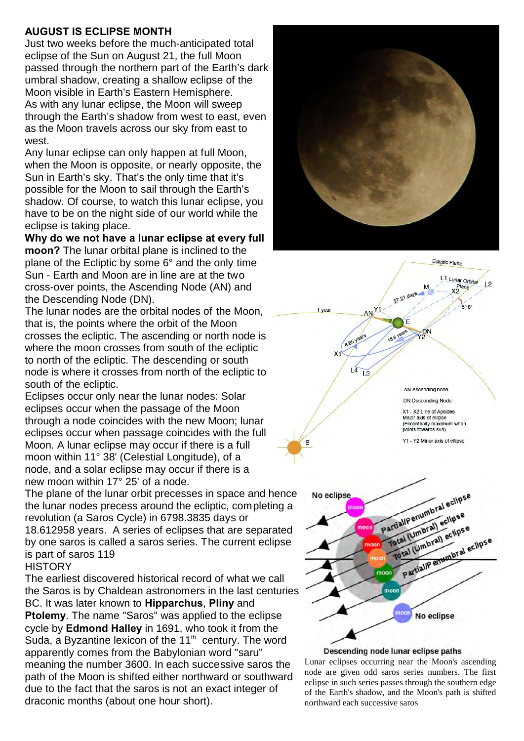## **AUGUST IS ECLIPSE MONTH**

Just two weeks before the much-anticipated total eclipse of the Sun on August 21, the full Moon passed through the northern part of the Earth's dark umbral shadow, creating a shallow eclipse of the Moon visible in Earth's Eastern Hemisphere. As with any lunar eclipse, the Moon will sweep through the Earth's shadow from west to east, even as the Moon travels across our sky from east to west.

Any lunar eclipse can only happen at full Moon, when the Moon is opposite, or nearly opposite, the Sun in Earth's sky. That's the only time that it's possible for the Moon to sail through the Earth's shadow. Of course, to watch this lunar eclipse, you have to be on the night side of our world while the eclipse is taking place.

**Why do we not have a lunar eclipse at every full moon?** The lunar orbital plane is inclined to the plane of the Ecliptic by some 6° and the only time Sun - Earth and Moon are in line are at the two cross-over points, the Ascending Node (AN) and the Descending Node (DN).

The lunar nodes are the orbital nodes of the Moon, that is, the points where the orbit of the Moon crosses the ecliptic. The ascending or north node is where the moon crosses from south of the ecliptic to north of the ecliptic. The descending or south node is where it crosses from north of the ecliptic to south of the ecliptic.

Eclipses occur only near the lunar nodes: Solar eclipses occur when the passage of the Moon through a node coincides with the new Moon; lunar eclipses occur when passage coincides with the full Moon. A lunar eclipse may occur if there is a full moon within 11° 38' (Celestial Longitude), of a node, and a solar eclipse may occur if there is a new moon within 17° 25' of a node.

The plane of the lunar orbit precesses in space and hence the lunar nodes precess around the ecliptic, completing a revolution (a Saros Cycle) in 6798.3835 days or 18.612958 years. A series of eclipses that are separated by one saros is called a saros series. The current eclipse is part of saros 119

## **HISTORY**

The earliest discovered historical record of what we call the Saros is by Chaldean astronomers in the last centuries BC. It was later known to **Hipparchus**, **Pliny** and **Ptolemy**. The name "Saros" was applied to the eclipse cycle by **Edmond Halley** in 1691, who took it from the Suda, a Byzantine lexicon of the  $11<sup>th</sup>$  century. The word apparently comes from the Babylonian word "saru" meaning the number 3600. In each successive saros the path of the Moon is shifted either northward or southward due to the fact that the saros is not an exact integer of draconic months (about one hour short).